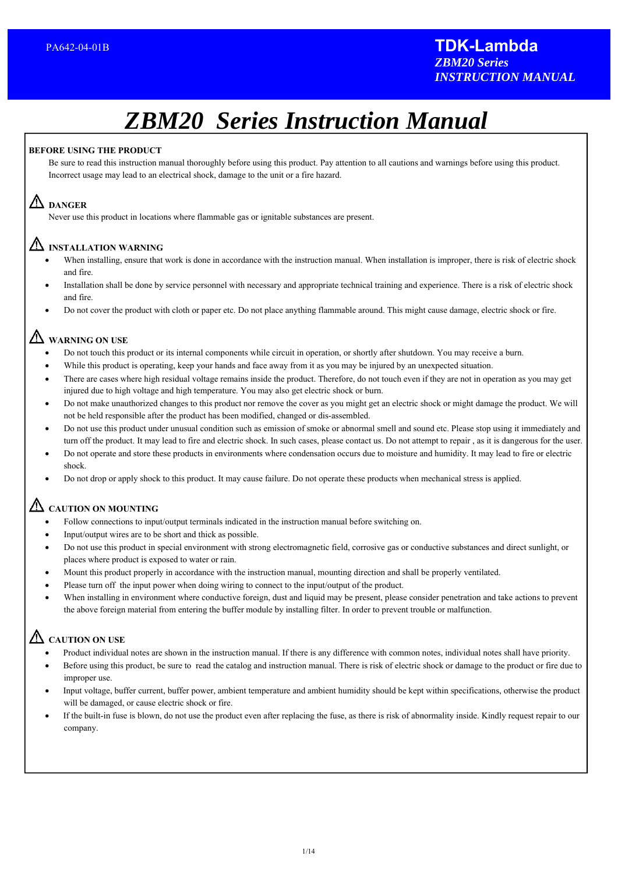# *ZBM20 Series Instruction Manual*

#### **BEFORE USING THE PRODUCT**

Be sure to read this instruction manual thoroughly before using this product. Pay attention to all cautions and warnings before using this product. Incorrect usage may lead to an electrical shock, damage to the unit or a fire hazard.

# **DANGER**

Never use this product in locations where flammable gas or ignitable substances are present.

# **INSTALLATION WARNING**

- When installing, ensure that work is done in accordance with the instruction manual. When installation is improper, there is risk of electric shock and fire.
- Installation shall be done by service personnel with necessary and appropriate technical training and experience. There is a risk of electric shock and fire.
- Do not cover the product with cloth or paper etc. Do not place anything flammable around. This might cause damage, electric shock or fire.

# **WARNING ON USE**

- Do not touch this product or its internal components while circuit in operation, or shortly after shutdown. You may receive a burn.
- While this product is operating, keep your hands and face away from it as you may be injured by an unexpected situation.
- There are cases where high residual voltage remains inside the product. Therefore, do not touch even if they are not in operation as you may get injured due to high voltage and high temperature. You may also get electric shock or burn.
- Do not make unauthorized changes to this product nor remove the cover as you might get an electric shock or might damage the product. We will not be held responsible after the product has been modified, changed or dis-assembled.
- Do not use this product under unusual condition such as emission of smoke or abnormal smell and sound etc. Please stop using it immediately and turn off the product. It may lead to fire and electric shock. In such cases, please contact us. Do not attempt to repair , as it is dangerous for the user.
- Do not operate and store these products in environments where condensation occurs due to moisture and humidity. It may lead to fire or electric shock.
- Do not drop or apply shock to this product. It may cause failure. Do not operate these products when mechanical stress is applied.

# **CAUTION ON MOUNTING**

- Follow connections to input/output terminals indicated in the instruction manual before switching on.
- Input/output wires are to be short and thick as possible.
- Do not use this product in special environment with strong electromagnetic field, corrosive gas or conductive substances and direct sunlight, or places where product is exposed to water or rain.
- Mount this product properly in accordance with the instruction manual, mounting direction and shall be properly ventilated.
- Please turn off the input power when doing wiring to connect to the input/output of the product.
- When installing in environment where conductive foreign, dust and liquid may be present, please consider penetration and take actions to prevent the above foreign material from entering the buffer module by installing filter. In order to prevent trouble or malfunction.

# **CAUTION ON USE**

- Product individual notes are shown in the instruction manual. If there is any difference with common notes, individual notes shall have priority.
- Before using this product, be sure to read the catalog and instruction manual. There is risk of electric shock or damage to the product or fire due to improper use.
- Input voltage, buffer current, buffer power, ambient temperature and ambient humidity should be kept within specifications, otherwise the product will be damaged, or cause electric shock or fire.
- If the built-in fuse is blown, do not use the product even after replacing the fuse, as there is risk of abnormality inside. Kindly request repair to our company.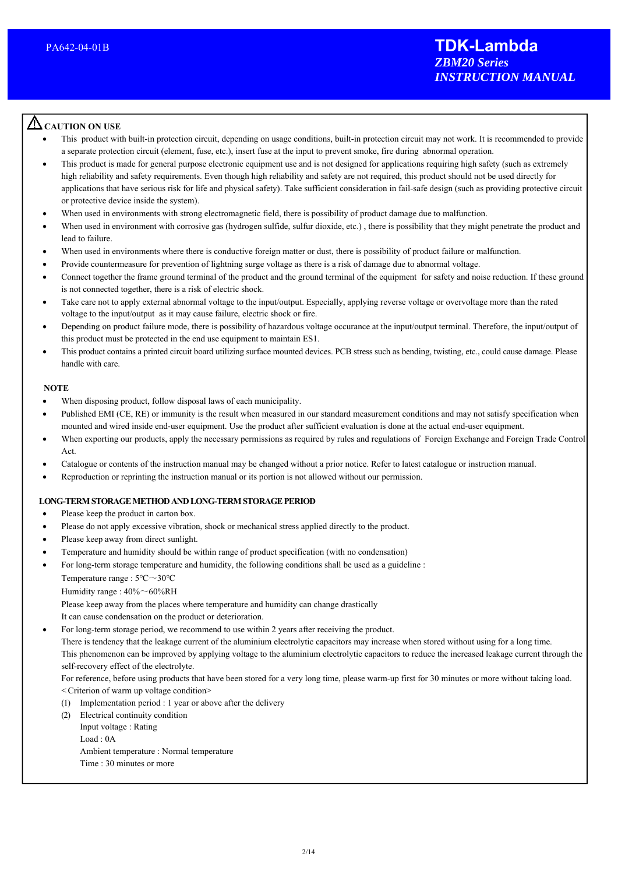# **CAUTION ON USE**

 $\overline{a}$ 

- This product with built-in protection circuit, depending on usage conditions, built-in protection circuit may not work. It is recommended to provide a separate protection circuit (element, fuse, etc.), insert fuse at the input to prevent smoke, fire during abnormal operation.
- This product is made for general purpose electronic equipment use and is not designed for applications requiring high safety (such as extremely high reliability and safety requirements. Even though high reliability and safety are not required, this product should not be used directly for applications that have serious risk for life and physical safety). Take sufficient consideration in fail-safe design (such as providing protective circuit or protective device inside the system).
- When used in environments with strong electromagnetic field, there is possibility of product damage due to malfunction.
- When used in environment with corrosive gas (hydrogen sulfide, sulfur dioxide, etc.), there is possibility that they might penetrate the product and lead to failure.
- When used in environments where there is conductive foreign matter or dust, there is possibility of product failure or malfunction.
- Provide countermeasure for prevention of lightning surge voltage as there is a risk of damage due to abnormal voltage.
- Connect together the frame ground terminal of the product and the ground terminal of the equipment for safety and noise reduction. If these ground is not connected together, there is a risk of electric shock.
- Take care not to apply external abnormal voltage to the input/output. Especially, applying reverse voltage or overvoltage more than the rated voltage to the input/output as it may cause failure, electric shock or fire.
- Depending on product failure mode, there is possibility of hazardous voltage occurance at the input/output terminal. Therefore, the input/output of this product must be protected in the end use equipment to maintain ES1.
- This product contains a printed circuit board utilizing surface mounted devices. PCB stress such as bending, twisting, etc., could cause damage. Please handle with care.

#### **NOTE**

- When disposing product, follow disposal laws of each municipality.
- Published EMI (CE, RE) or immunity is the result when measured in our standard measurement conditions and may not satisfy specification when mounted and wired inside end-user equipment. Use the product after sufficient evaluation is done at the actual end-user equipment.
- When exporting our products, apply the necessary permissions as required by rules and regulations of Foreign Exchange and Foreign Trade Control Act.
- Catalogue or contents of the instruction manual may be changed without a prior notice. Refer to latest catalogue or instruction manual.
- Reproduction or reprinting the instruction manual or its portion is not allowed without our permission.

#### **LONG-TERM STORAGE METHOD AND LONG-TERM STORAGE PERIOD**

- Please keep the product in carton box.
- Please do not apply excessive vibration, shock or mechanical stress applied directly to the product.
- Please keep away from direct sunlight.
- Temperature and humidity should be within range of product specification (with no condensation)
- For long-term storage temperature and humidity, the following conditions shall be used as a guideline : Temperature range : 5℃~30℃

Humidity range : 40%~60%RH

Please keep away from the places where temperature and humidity can change drastically

It can cause condensation on the product or deterioration.

For long-term storage period, we recommend to use within 2 years after receiving the product.

There is tendency that the leakage current of the aluminium electrolytic capacitors may increase when stored without using for a long time. This phenomenon can be improved by applying voltage to the aluminium electrolytic capacitors to reduce the increased leakage current through the self-recovery effect of the electrolyte.

For reference, before using products that have been stored for a very long time, please warm-up first for 30 minutes or more without taking load. < Criterion of warm up voltage condition>

- (1) Implementation period : 1 year or above after the delivery
- (2) Electrical continuity condition
	- Input voltage : Rating

Load : 0A

- Ambient temperature : Normal temperature
- Time : 30 minutes or more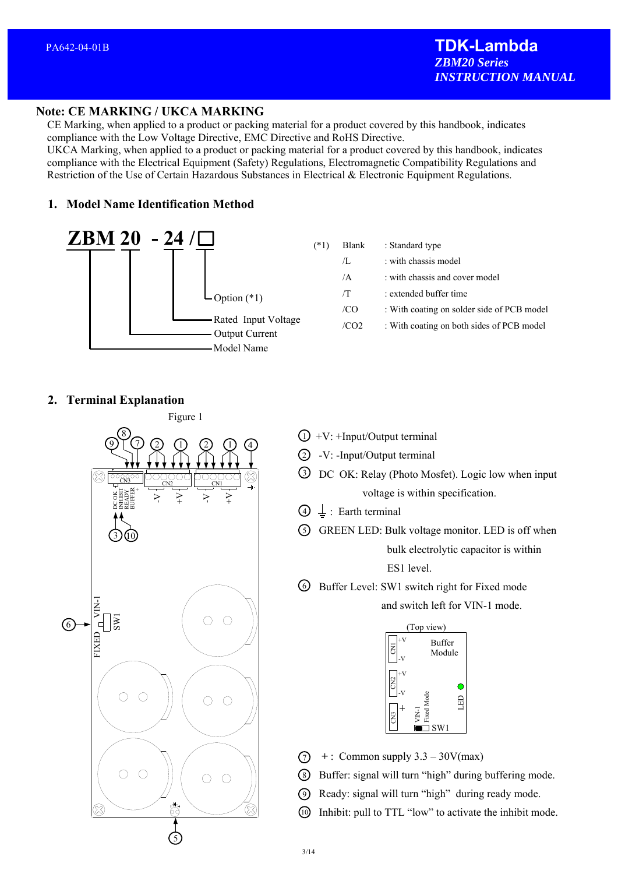# **Note: CE MARKING / UKCA MARKING**

 CE Marking, when applied to a product or packing material for a product covered by this handbook, indicates compliance with the Low Voltage Directive, EMC Directive and RoHS Directive.

 UKCA Marking, when applied to a product or packing material for a product covered by this handbook, indicates compliance with the Electrical Equipment (Safety) Regulations, Electromagnetic Compatibility Regulations and Restriction of the Use of Certain Hazardous Substances in Electrical & Electronic Equipment Regulations.

# **1. Model Name Identification Method**



| $(*1)$ | Blank          | : Standard type                            |
|--------|----------------|--------------------------------------------|
|        | Л.             | : with chassis model                       |
|        | $\overline{A}$ | : with chassis and cover model             |
|        | /T             | : extended buffer time                     |
|        | /CO            | : With coating on solder side of PCB model |
|        | /CO2           | : With coating on both sides of PCB model  |
|        |                |                                            |

## **2. Terminal Explanation**



- $1)$  +V: +Input/Output terminal
- $2)$  -V: -Input/Output terminal
- DC OK: Relay (Photo Mosfet). Logic low when input 3 voltage is within specification.
- $\bigoplus$   $\perp$  : Earth terminal
- S GREEN LED: Bulk voltage monitor. LED is off when bulk electrolytic capacitor is within ES1 level.
- Buffer Level: SW1 switch right for Fixed mode 6 and switch left for VIN-1 mode.



- $\sqrt{7}$  + : Common supply 3.3 30V(max)
- Buffer: signal will turn "high" during buffering mode. 8
- Ready: signal will turn "high" during ready mode. 9
- Inhibit: pull to TTL "low" to activate the inhibit mode. 10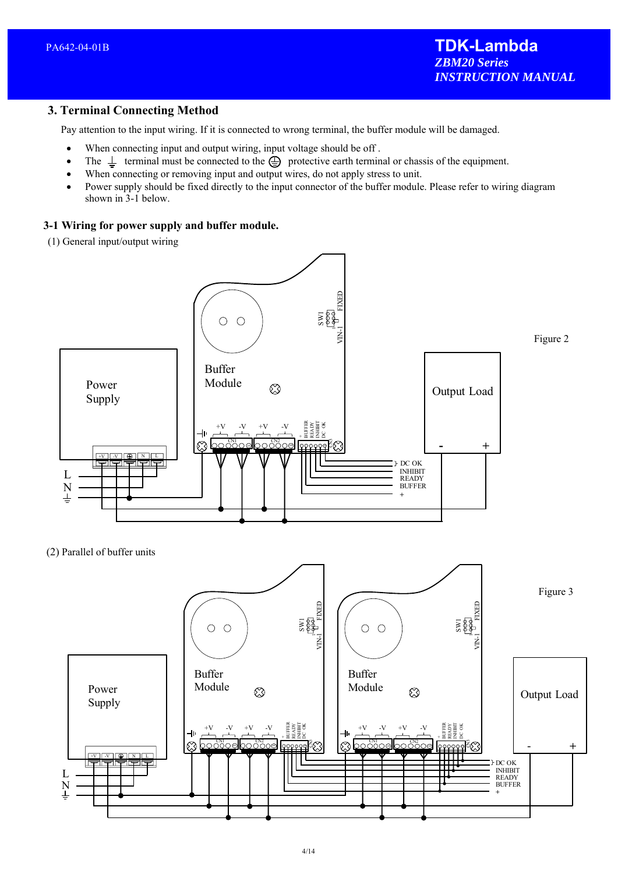# **3. Terminal Connecting Method**

Pay attention to the input wiring. If it is connected to wrong terminal, the buffer module will be damaged.

- When connecting input and output wiring, input voltage should be off .
- The  $\perp$  terminal must be connected to the  $\oplus$  protective earth terminal or chassis of the equipment.
- When connecting or removing input and output wires, do not apply stress to unit.
- Power supply should be fixed directly to the input connector of the buffer module. Please refer to wiring diagram shown in 3-1 below.

#### **3-1 Wiring for power supply and buffer module.**

(1) General input/output wiring



(2) Parallel of buffer units

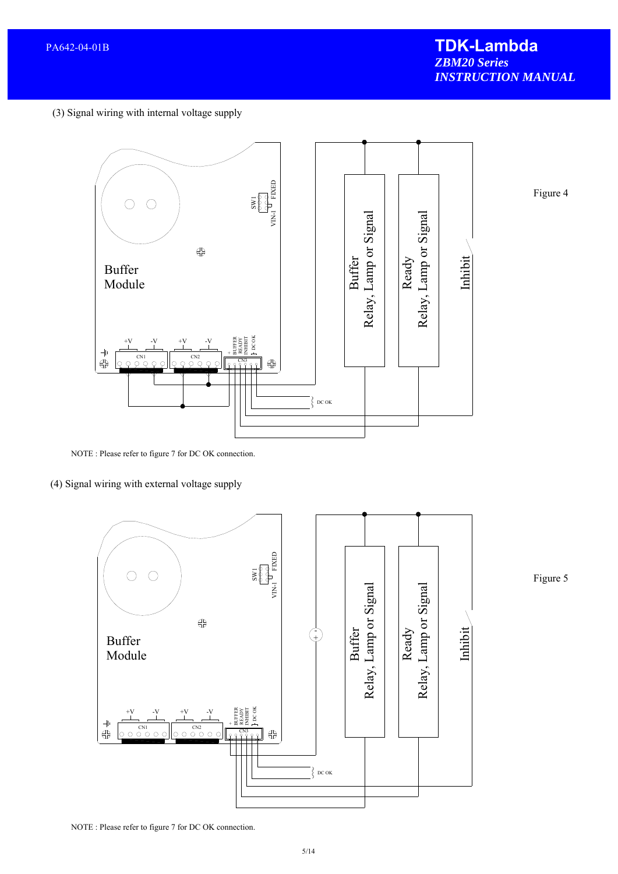Figure 4

(3) Signal wiring with internal voltage supply



NOTE : Please refer to figure 7 for DC OK connection.

(4) Signal wiring with external voltage supply



Figure 5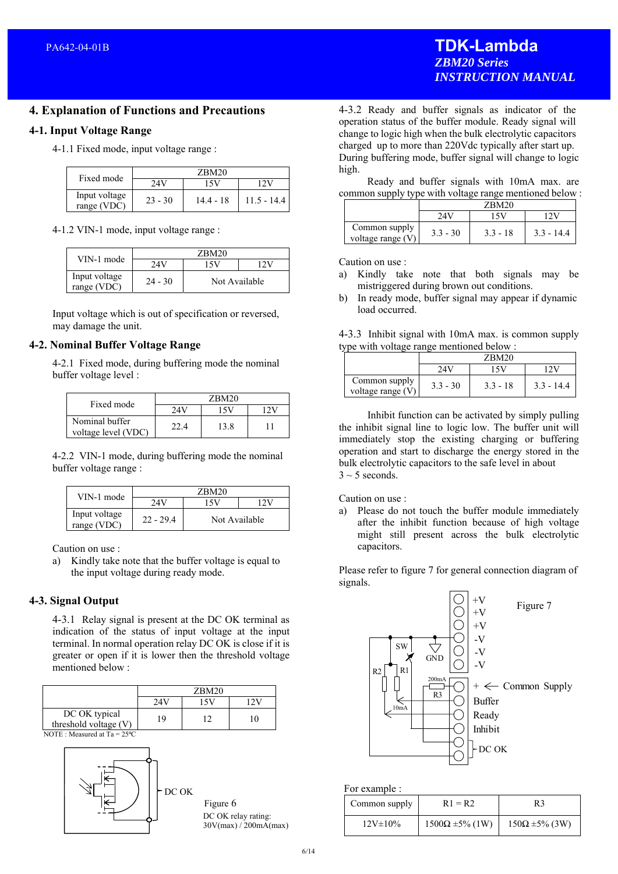# **TDK-Lambda**  *ZBM20 Series INSTRUCTION MANUAL*

## **4. Explanation of Functions and Precautions**

#### **4-1. Input Voltage Range**

4-1.1 Fixed mode, input voltage range :

| Fixed mode                   | ZBM20     |           |               |
|------------------------------|-----------|-----------|---------------|
|                              | 74V       | 5V        |               |
| Input voltage<br>range (VDC) | $23 - 30$ | 14.4 - 18 | $11.5 - 14.4$ |

#### 4-1.2 VIN-1 mode, input voltage range :

| VIN-1 mode                   | ZBM20     |               |  |
|------------------------------|-----------|---------------|--|
|                              | 24V       | 1 S V         |  |
| Input voltage<br>range (VDC) | $24 - 30$ | Not Available |  |

Input voltage which is out of specification or reversed, may damage the unit.

#### **4-2. Nominal Buffer Voltage Range**

4-2.1 Fixed mode, during buffering mode the nominal buffer voltage level :

| Fixed mode                            |      | ZBM20 |  |
|---------------------------------------|------|-------|--|
|                                       |      |       |  |
| Nominal buffer<br>voltage level (VDC) | 22 A | 13.8  |  |

4-2.2 VIN-1 mode, during buffering mode the nominal buffer voltage range :

| VIN-1 mode                   |             | ZBM20         |  |
|------------------------------|-------------|---------------|--|
|                              | 24V         | 1 S V         |  |
| Input voltage<br>range (VDC) | $22 - 29.4$ | Not Available |  |

Caution on use :

a) Kindly take note that the buffer voltage is equal to the input voltage during ready mode.

#### **4-3. Signal Output**

4-3.1 Relay signal is present at the DC OK terminal as indication of the status of input voltage at the input terminal. In normal operation relay DC OK is close if it is greater or open if it is lower then the threshold voltage mentioned below :

|                                          |     | ZBM20 |    |
|------------------------------------------|-----|-------|----|
|                                          | 24V |       |    |
| DC OK typical<br>threshold voltage $(V)$ | 19  |       | 10 |
| NOTE: Measured at $Ta = 25^{\circ}C$     |     |       |    |



4-3.2 Ready and buffer signals as indicator of the operation status of the buffer module. Ready signal will change to logic high when the bulk electrolytic capacitors charged up to more than 220Vdc typically after start up. During buffering mode, buffer signal will change to logic high.

 Ready and buffer signals with 10mA max. are common supply type with voltage range mentioned below :

|                                      | $\epsilon$ onnnon sappr $\epsilon$ , $\epsilon$ , pe $\epsilon$ when $\epsilon$ sharp range members sets $\alpha$<br>ZBM20 |            |              |
|--------------------------------------|----------------------------------------------------------------------------------------------------------------------------|------------|--------------|
|                                      | 24                                                                                                                         |            |              |
| Common supply<br>voltage range $(V)$ | $3.3 - 30$                                                                                                                 | $3.3 - 18$ | $3.3 - 14.4$ |

Caution on use :

- a) Kindly take note that both signals may be mistriggered during brown out conditions.
- b) In ready mode, buffer signal may appear if dynamic load occurred.

| 4-3.3 Inhibit signal with 10mA max. is common supply |  |  |
|------------------------------------------------------|--|--|
| type with voltage range mentioned below :            |  |  |

|                                      | ZBM20      |            |              |  |
|--------------------------------------|------------|------------|--------------|--|
|                                      | 24V        |            |              |  |
| Common supply<br>voltage range $(V)$ | $3.3 - 30$ | $3.3 - 18$ | $3.3 - 14.4$ |  |

 Inhibit function can be activated by simply pulling the inhibit signal line to logic low. The buffer unit will immediately stop the existing charging or buffering operation and start to discharge the energy stored in the bulk electrolytic capacitors to the safe level in about  $3 \sim 5$  seconds.

#### Caution on use :

a) Please do not touch the buffer module immediately after the inhibit function because of high voltage might still present across the bulk electrolytic capacitors.

Please refer to figure 7 for general connection diagram of signals.



For example :

| Common supply  | $R1 = R2$                 | R3                       |
|----------------|---------------------------|--------------------------|
| $12V \pm 10\%$ | $1500\Omega \pm 5\%$ (1W) | $150\Omega \pm 5\%$ (3W) |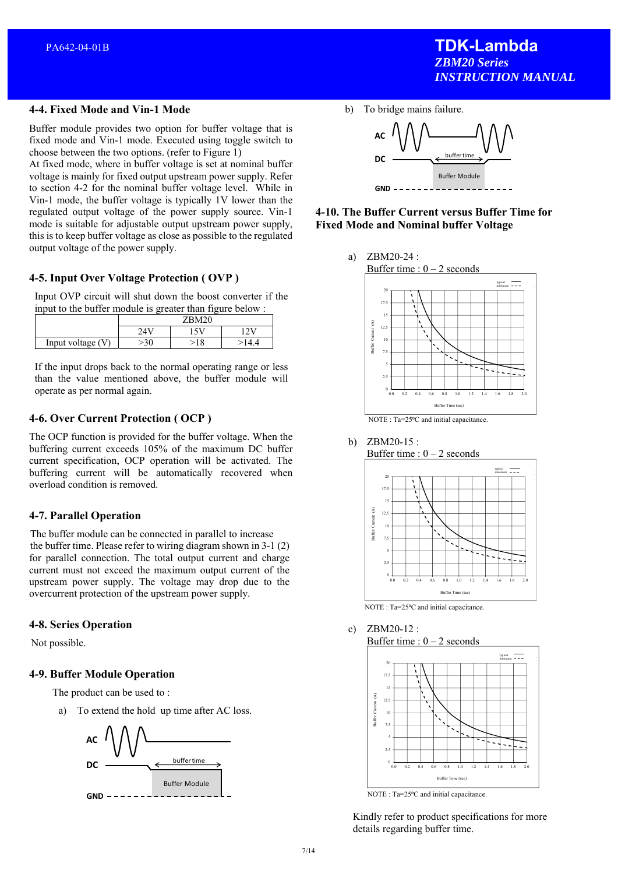Buffer module provides two option for buffer voltage that is fixed mode and Vin-1 mode. Executed using toggle switch to choose between the two options. (refer to Figure 1)

At fixed mode, where in buffer voltage is set at nominal buffer voltage is mainly for fixed output upstream power supply. Refer to section 4-2 for the nominal buffer voltage level. While in Vin-1 mode, the buffer voltage is typically 1V lower than the regulated output voltage of the power supply source. Vin-1 mode is suitable for adjustable output upstream power supply, this is to keep buffer voltage as close as possible to the regulated output voltage of the power supply.

# **4-5. Input Over Voltage Protection ( OVP )**

Input OVP circuit will shut down the boost converter if the input to the buffer module is greater than figure below :

|                     | <b>ZRM20</b> |  |    |
|---------------------|--------------|--|----|
|                     | 24           |  |    |
| Input voltage $(V)$ | $\gamma$     |  | 44 |

If the input drops back to the normal operating range or less than the value mentioned above, the buffer module will operate as per normal again.

# **4-6. Over Current Protection ( OCP )**

The OCP function is provided for the buffer voltage. When the buffering current exceeds 105% of the maximum DC buffer current specification, OCP operation will be activated. The buffering current will be automatically recovered when overload condition is removed.

# **4-7. Parallel Operation**

 The buffer module can be connected in parallel to increase the buffer time. Please refer to wiring diagram shown in 3-1 (2) for parallel connection. The total output current and charge current must not exceed the maximum output current of the upstream power supply. The voltage may drop due to the overcurrent protection of the upstream power supply.

#### **4-8. Series Operation**

Not possible.

#### **4-9. Buffer Module Operation**

The product can be used to :

a) To extend the hold up time after AC loss.



b) To bridge mains failure.



**4-10. The Buffer Current versus Buffer Time for Fixed Mode and Nominal buffer Voltage** 







NOTE : Ta=25°C and initial capacitance.

c) ZBM20-12 : Buffer time :  $0 - 2$  seconds



NOTE : Ta=25°C and initial capacitance.

Kindly refer to product specifications for more details regarding buffer time.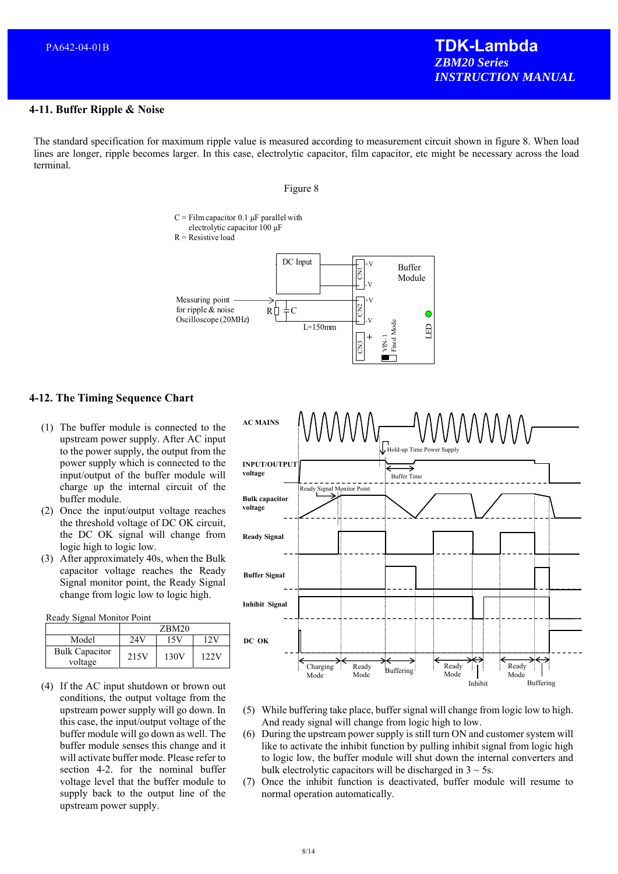#### **4-11. Buffer Ripple & Noise**

The standard specification for maximum ripple value is measured according to measurement circuit shown in figure 8. When load lines are longer, ripple becomes larger. In this case, electrolytic capacitor, film capacitor, etc might be necessary across the load terminal.

#### Figure 8

# $C =$  Film capacitor 0.1  $\mu$ F parallel with

electrolytic capacitor 100 µF

 $R$  = Resistive load



#### **4-12. The Timing Sequence Chart**

- (1) The buffer module is connected to the upstream power supply. After AC input to the power supply, the output from the power supply which is connected to the input/output of the buffer module will charge up the internal circuit of the buffer module.
- (2) Once the input/output voltage reaches the threshold voltage of DC OK circuit, the DC OK signal will change from logic high to logic low.
- (3) After approximately 40s, when the Bulk capacitor voltage reaches the Ready Signal monitor point, the Ready Signal change from logic low to logic high.

Ready Signal Monitor Point

|                                  | ZBM20 |      |      |
|----------------------------------|-------|------|------|
| Model                            | 24V   | 15V  | 12V  |
| <b>Bulk Capacitor</b><br>voltage | 215V  | 130V | 122V |

(4) If the AC input shutdown or brown out conditions, the output voltage from the upstream power supply will go down. In this case, the input/output voltage of the buffer module will go down as well. The buffer module senses this change and it will activate buffer mode. Please refer to section 4-2. for the nominal buffer voltage level that the buffer module to supply back to the output line of the upstream power supply.



- (5) While buffering take place, buffer signal will change from logic low to high. And ready signal will change from logic high to low.
- (6) During the upstream power supply is still turn ON and customer system will like to activate the inhibit function by pulling inhibit signal from logic high to logic low, the buffer module will shut down the internal converters and bulk electrolytic capacitors will be discharged in  $3 \sim 5$ s.
- (7) Once the inhibit function is deactivated, buffer module will resume to normal operation automatically.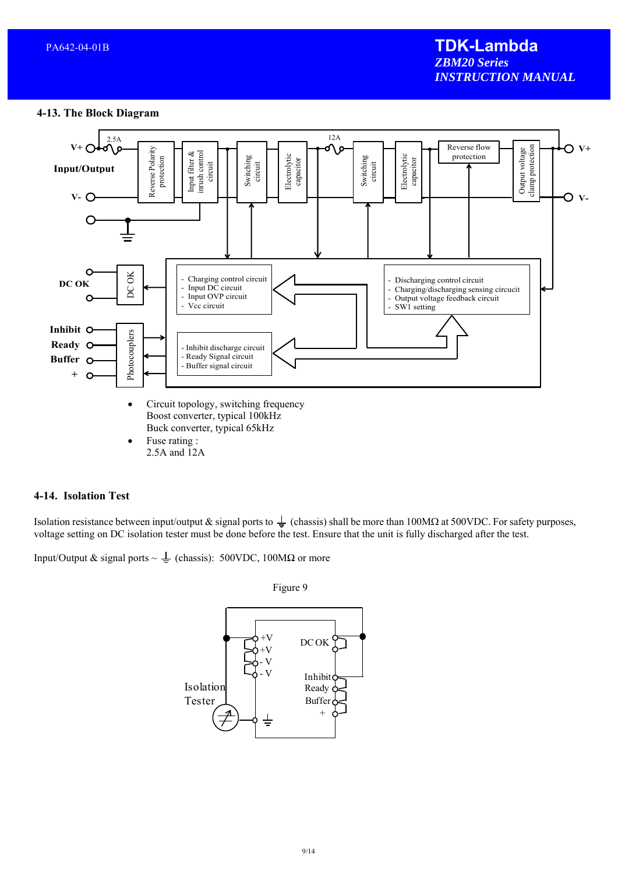#### **4-13. The Block Diagram**



• Fuse rating : 2.5A and 12A

#### **4-14. Isolation Test**

Isolation resistance between input/output & signal ports to  $\frac{1}{2}$  (chassis) shall be more than 100M $\Omega$  at 500VDC. For safety purposes, voltage setting on DC isolation tester must be done before the test. Ensure that the unit is fully discharged after the test.

Input/Output & signal ports ~  $\perp$  (chassis): 500VDC, 100M $\Omega$  or more

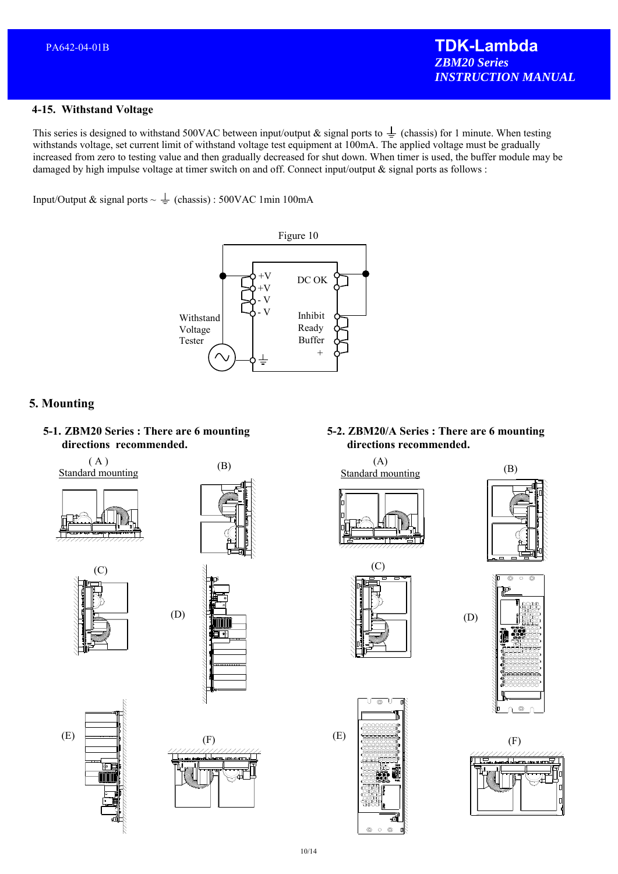#### **4-15. Withstand Voltage**

This series is designed to withstand 500VAC between input/output & signal ports to  $\frac{1}{\epsilon}$  (chassis) for 1 minute. When testing withstands voltage, set current limit of withstand voltage test equipment at 100mA. The applied voltage must be gradually increased from zero to testing value and then gradually decreased for shut down. When timer is used, the buffer module may be damaged by high impulse voltage at timer switch on and off. Connect input/output & signal ports as follows :

Input/Output & signal ports  $\sim \frac{1}{2}$  (chassis) : 500VAC 1min 100mA



# **5. Mounting**



( A ) Standard mounting





(B)







 $(F)$ 

  **directions recommended. 5-2. ZBM20/A Series : There are 6 mounting** 

l (A)  $Standard$  (B)











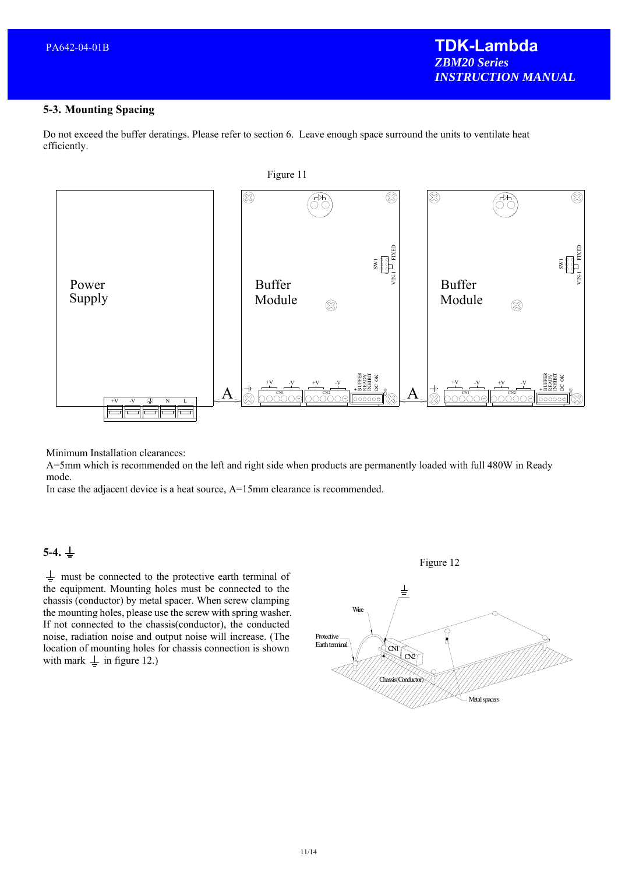Do not exceed the buffer deratings. Please refer to section 6. Leave enough space surround the units to ventilate heat efficiently.



Minimum Installation clearances:

A=5mm which is recommended on the left and right side when products are permanently loaded with full 480W in Ready mode.

In case the adjacent device is a heat source, A=15mm clearance is recommended.

# $5-4. \perp$

 $\frac{1}{x}$  must be connected to the protective earth terminal of the equipment. Mounting holes must be connected to the chassis (conductor) by metal spacer. When screw clamping the mounting holes, please use the screw with spring washer. If not connected to the chassis(conductor), the conducted noise, radiation noise and output noise will increase. (The location of mounting holes for chassis connection is shown with mark  $\perp$  in figure 12.)

Figure 12

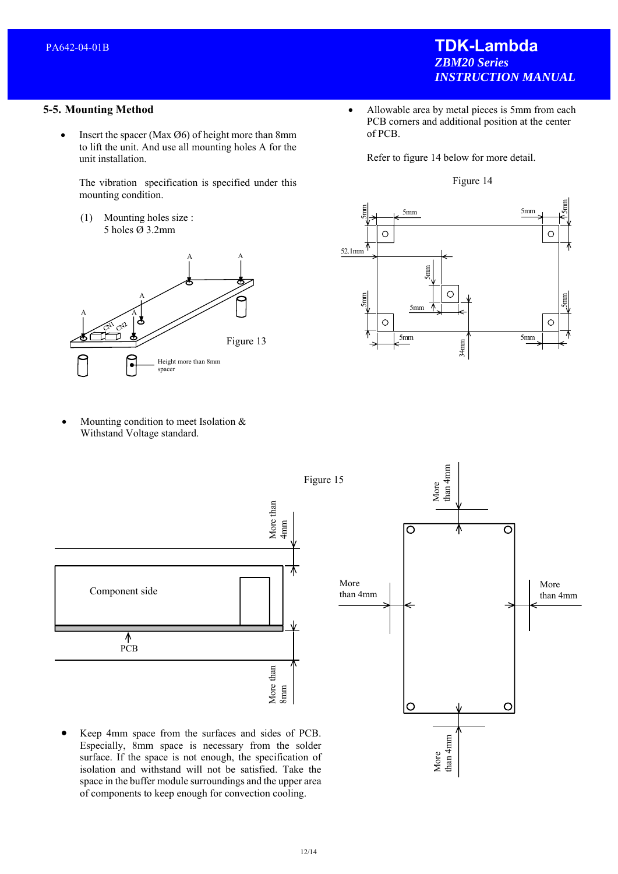#### **5-5. Mounting Method**

• Insert the spacer (Max  $\varnothing$ 6) of height more than 8mm to lift the unit. And use all mounting holes A for the unit installation.

The vibration specification is specified under this mounting condition.

(1) Mounting holes size : 5 holes Ø 3.2mm



 Mounting condition to meet Isolation & Withstand Voltage standard.

- **TDK-Lambda**  *ZBM20 Series INSTRUCTION MANUAL*
- Allowable area by metal pieces is 5mm from each PCB corners and additional position at the center of PCB.

Refer to figure 14 below for more detail.





More<br>than 4mm than 4mm

- More<br>than 4mm than 4mm Figure 15 More than More than 4mm  $\overline{\circ}$ ਠ More More Component side than 4mm than 4mm ⊼ PCB More than  $8\mathrm{mm}$ More than **O**  $\circ$ 
	- Keep 4mm space from the surfaces and sides of PCB. Especially, 8mm space is necessary from the solder surface. If the space is not enough, the specification of isolation and withstand will not be satisfied. Take the space in the buffer module surroundings and the upper area of components to keep enough for convection cooling.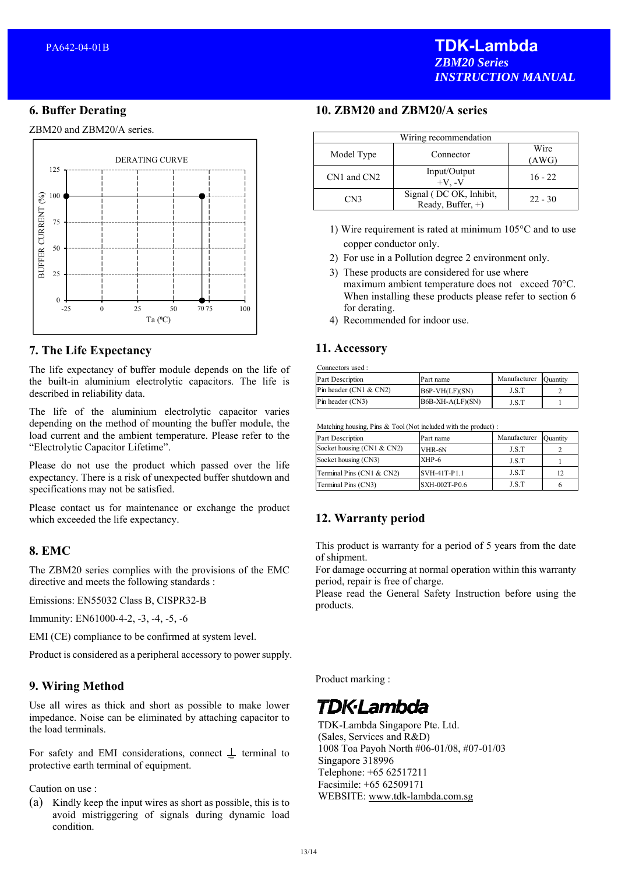## **6. Buffer Derating**

ZBM20 and ZBM20/A series.



# **7. The Life Expectancy**

The life expectancy of buffer module depends on the life of the built-in aluminium electrolytic capacitors. The life is described in reliability data.

The life of the aluminium electrolytic capacitor varies depending on the method of mounting the buffer module, the load current and the ambient temperature. Please refer to the "Electrolytic Capacitor Lifetime".

Please do not use the product which passed over the life expectancy. There is a risk of unexpected buffer shutdown and specifications may not be satisfied.

Please contact us for maintenance or exchange the product which exceeded the life expectancy.

#### **8. EMC**

The ZBM20 series complies with the provisions of the EMC directive and meets the following standards :

Emissions: EN55032 Class B, CISPR32-B

Immunity: EN61000-4-2, -3, -4, -5, -6

EMI (CE) compliance to be confirmed at system level.

Product is considered as a peripheral accessory to power supply.

# **9. Wiring Method**

Use all wires as thick and short as possible to make lower impedance. Noise can be eliminated by attaching capacitor to the load terminals.

For safety and EMI considerations, connect  $\perp$  terminal to protective earth terminal of equipment.

Caution on use :

(a) Kindly keep the input wires as short as possible, this is to avoid mistriggering of signals during dynamic load condition.

#### **10. ZBM20 and ZBM20/A series**

| Wiring recommendation |                                              |               |  |  |
|-----------------------|----------------------------------------------|---------------|--|--|
| Model Type            | Connector                                    | Wire<br>(AWG) |  |  |
| CN1 and CN2           | Input/Output<br>$+V. -V$                     | $16 - 22$     |  |  |
| CN3                   | Signal (DC OK, Inhibit,<br>Ready, Buffer, +) | $22 - 30$     |  |  |

- 1) Wire requirement is rated at minimum 105°C and to use copper conductor only.
- 2) For use in a Pollution degree 2 environment only.
- 3) These products are considered for use where maximum ambient temperature does not exceed 70°C. When installing these products please refer to section 6 for derating.
- 4) Recommended for indoor use.

#### **11. Accessory**

Connectors used :

| <b>Part Description</b>         | Part name          | Manufacturer | Ouantity |
|---------------------------------|--------------------|--------------|----------|
| $\text{Pin}$ header (CN1 & CN2) | $B6P-VH(LF)(SN)$   | J.S.T        |          |
| $P$ in header $(CN3)$           | $B6B-XH-A(LF)(SN)$ | J.S.T        |          |

Matching housing, Pins & Tool (Not included with the product) :

| Part Description              | Part name     | Manufacturer | Quantity |
|-------------------------------|---------------|--------------|----------|
| Socket housing $(CN1 \& CN2)$ | VHR-6N        | J.S.T        |          |
| Socket housing (CN3)          | XHP-6         | J.S.T        |          |
| Terminal Pins (CN1 & CN2)     | SVH-41T-P1.1  | J.S.T        | 12       |
| Terminal Pins (CN3)           | SXH-002T-P0.6 | J.S.T        |          |

# **12. Warranty period**

This product is warranty for a period of 5 years from the date of shipment.

For damage occurring at normal operation within this warranty period, repair is free of charge.

Please read the General Safety Instruction before using the products.

Product marking :

# **TDK·Lambda**

TDK-Lambda Singapore Pte. Ltd. (Sales, Services and R&D) 1008 Toa Payoh North #06-01/08, #07-01/03 Singapore 318996 Telephone: +65 62517211 Facsimile: +65 62509171 WEBSITE: www.tdk-lambda.com.sg